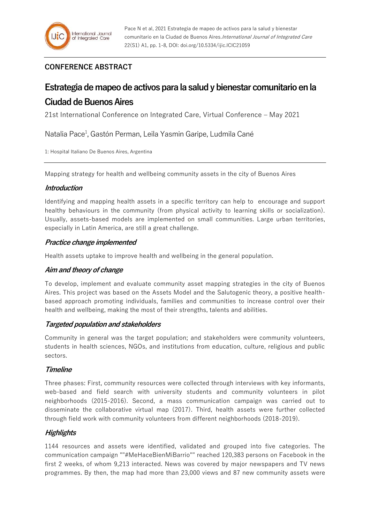## **CONFERENCE ABSTRACT**

# **Estrategia de mapeo de activos para la salud y bienestar comunitario en la Ciudad de Buenos Aires**

21st International Conference on Integrated Care, Virtual Conference – May 2021

Natalia Pace<sup>1</sup>, Gastón Perman, Leila Yasmin Garipe, Ludmila Cané

1: Hospital Italiano De Buenos Aires, Argentina

Mapping strategy for health and wellbeing community assets in the city of Buenos Aires

## **Introduction**

Identifying and mapping health assets in a specific territory can help to encourage and support healthy behaviours in the community (from physical activity to learning skills or socialization). Usually, assets-based models are implemented on small communities. Large urban territories, especially in Latin America, are still a great challenge.

## **Practice change implemented**

Health assets uptake to improve health and wellbeing in the general population.

## **Aim and theory of change**

To develop, implement and evaluate community asset mapping strategies in the city of Buenos Aires. This project was based on the Assets Model and the Salutogenic theory, a positive healthbased approach promoting individuals, families and communities to increase control over their health and wellbeing, making the most of their strengths, talents and abilities.

## **Targeted population and stakeholders**

Community in general was the target population; and stakeholders were community volunteers, students in health sciences, NGOs, and institutions from education, culture, religious and public sectors.

## **Timeline**

Three phases: First, community resources were collected through interviews with key informants, web-based and field search with university students and community volunteers in pilot neighborhoods (2015-2016). Second, a mass communication campaign was carried out to disseminate the collaborative virtual map (2017). Third, health assets were further collected through field work with community volunteers from different neighborhoods (2018-2019).

## **Highlights**

1144 resources and assets were identified, validated and grouped into five categories. The communication campaign ""#MeHaceBienMiBarrio"" reached 120,383 persons on Facebook in the first 2 weeks, of whom 9,213 interacted. News was covered by major newspapers and TV news programmes. By then, the map had more than 23,000 views and 87 new community assets were